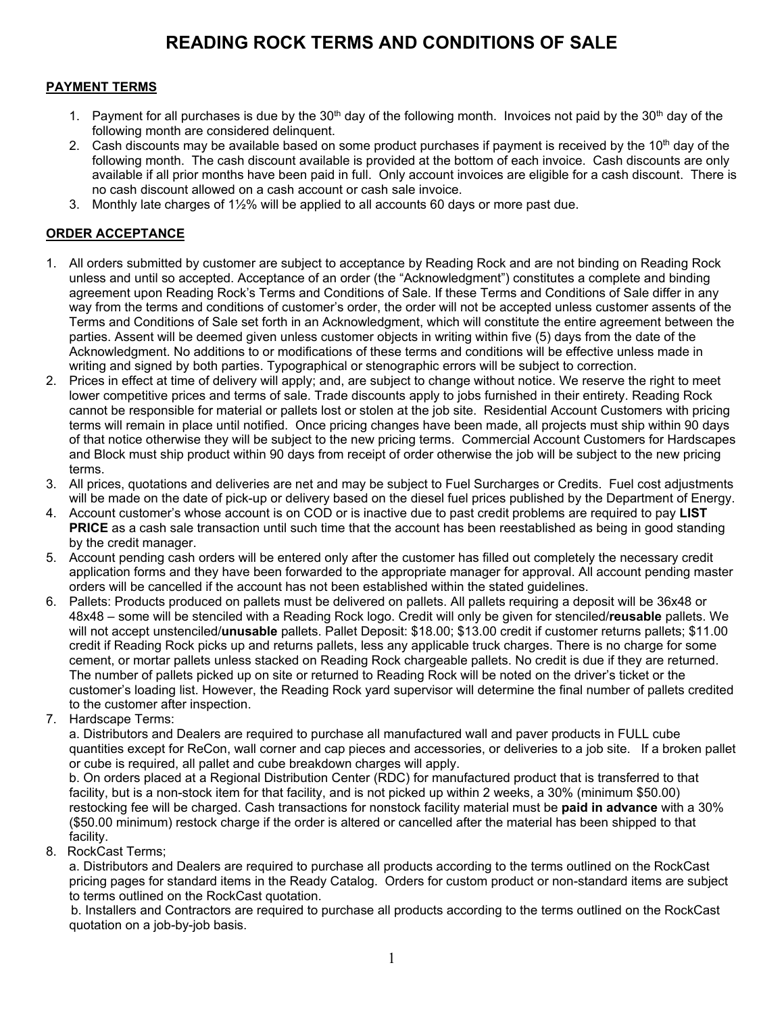## **READING ROCK TERMS AND CONDITIONS OF SALE**

#### **PAYMENT TERMS**

- 1. Payment for all purchases is due by the  $30<sup>th</sup>$  day of the following month. Invoices not paid by the  $30<sup>th</sup>$  day of the following month are considered delinquent.
- 2. Cash discounts may be available based on some product purchases if payment is received by the 10<sup>th</sup> day of the following month. The cash discount available is provided at the bottom of each invoice. Cash discounts are only available if all prior months have been paid in full. Only account invoices are eligible for a cash discount. There is no cash discount allowed on a cash account or cash sale invoice.
- 3. Monthly late charges of 1½% will be applied to all accounts 60 days or more past due.

#### **ORDER ACCEPTANCE**

- 1. All orders submitted by customer are subject to acceptance by Reading Rock and are not binding on Reading Rock unless and until so accepted. Acceptance of an order (the "Acknowledgment") constitutes a complete and binding agreement upon Reading Rock's Terms and Conditions of Sale. If these Terms and Conditions of Sale differ in any way from the terms and conditions of customer's order, the order will not be accepted unless customer assents of the Terms and Conditions of Sale set forth in an Acknowledgment, which will constitute the entire agreement between the parties. Assent will be deemed given unless customer objects in writing within five (5) days from the date of the Acknowledgment. No additions to or modifications of these terms and conditions will be effective unless made in writing and signed by both parties. Typographical or stenographic errors will be subject to correction.
- 2. Prices in effect at time of delivery will apply; and, are subject to change without notice. We reserve the right to meet lower competitive prices and terms of sale. Trade discounts apply to jobs furnished in their entirety. Reading Rock cannot be responsible for material or pallets lost or stolen at the job site. Residential Account Customers with pricing terms will remain in place until notified. Once pricing changes have been made, all projects must ship within 90 days of that notice otherwise they will be subject to the new pricing terms. Commercial Account Customers for Hardscapes and Block must ship product within 90 days from receipt of order otherwise the job will be subject to the new pricing terms.
- 3. All prices, quotations and deliveries are net and may be subject to Fuel Surcharges or Credits. Fuel cost adjustments will be made on the date of pick-up or delivery based on the diesel fuel prices published by the Department of Energy.
- 4. Account customer's whose account is on COD or is inactive due to past credit problems are required to pay **LIST PRICE** as a cash sale transaction until such time that the account has been reestablished as being in good standing by the credit manager.
- 5. Account pending cash orders will be entered only after the customer has filled out completely the necessary credit application forms and they have been forwarded to the appropriate manager for approval. All account pending master orders will be cancelled if the account has not been established within the stated guidelines.
- 6. Pallets: Products produced on pallets must be delivered on pallets. All pallets requiring a deposit will be 36x48 or 48x48 – some will be stenciled with a Reading Rock logo. Credit will only be given for stenciled/**reusable** pallets. We will not accept unstenciled/**unusable** pallets. Pallet Deposit: \$18.00; \$13.00 credit if customer returns pallets; \$11.00 credit if Reading Rock picks up and returns pallets, less any applicable truck charges. There is no charge for some cement, or mortar pallets unless stacked on Reading Rock chargeable pallets. No credit is due if they are returned. The number of pallets picked up on site or returned to Reading Rock will be noted on the driver's ticket or the customer's loading list. However, the Reading Rock yard supervisor will determine the final number of pallets credited to the customer after inspection.
- 7. Hardscape Terms:

 a. Distributors and Dealers are required to purchase all manufactured wall and paver products in FULL cube quantities except for ReCon, wall corner and cap pieces and accessories, or deliveries to a job site. If a broken pallet or cube is required, all pallet and cube breakdown charges will apply.

 b. On orders placed at a Regional Distribution Center (RDC) for manufactured product that is transferred to that facility, but is a non-stock item for that facility, and is not picked up within 2 weeks, a 30% (minimum \$50.00) restocking fee will be charged. Cash transactions for nonstock facility material must be **paid in advance** with a 30% (\$50.00 minimum) restock charge if the order is altered or cancelled after the material has been shipped to that facility.

8. RockCast Terms;

 a. Distributors and Dealers are required to purchase all products according to the terms outlined on the RockCast pricing pages for standard items in the Ready Catalog. Orders for custom product or non-standard items are subject to terms outlined on the RockCast quotation.

 b. Installers and Contractors are required to purchase all products according to the terms outlined on the RockCast quotation on a job-by-job basis.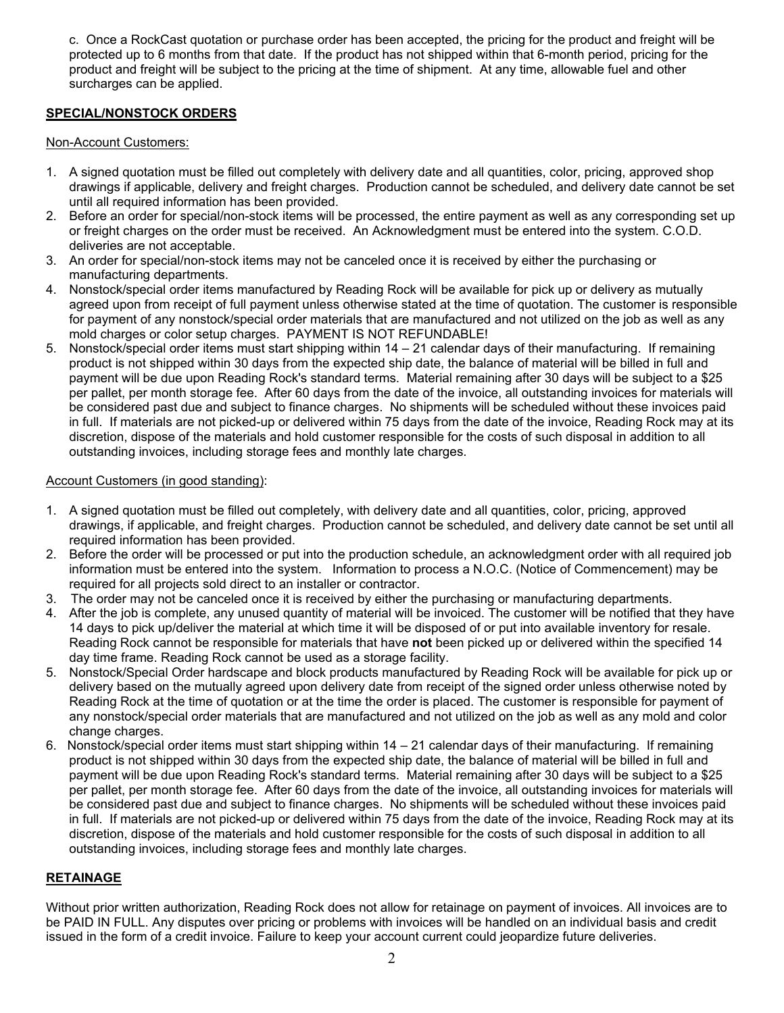c. Once a RockCast quotation or purchase order has been accepted, the pricing for the product and freight will be protected up to 6 months from that date. If the product has not shipped within that 6-month period, pricing for the product and freight will be subject to the pricing at the time of shipment. At any time, allowable fuel and other surcharges can be applied.

#### **SPECIAL/NONSTOCK ORDERS**

#### Non-Account Customers:

- 1. A signed quotation must be filled out completely with delivery date and all quantities, color, pricing, approved shop drawings if applicable, delivery and freight charges. Production cannot be scheduled, and delivery date cannot be set until all required information has been provided.
- 2. Before an order for special/non-stock items will be processed, the entire payment as well as any corresponding set up or freight charges on the order must be received. An Acknowledgment must be entered into the system. C.O.D. deliveries are not acceptable.
- 3. An order for special/non-stock items may not be canceled once it is received by either the purchasing or manufacturing departments.
- 4. Nonstock/special order items manufactured by Reading Rock will be available for pick up or delivery as mutually agreed upon from receipt of full payment unless otherwise stated at the time of quotation. The customer is responsible for payment of any nonstock/special order materials that are manufactured and not utilized on the job as well as any mold charges or color setup charges. PAYMENT IS NOT REFUNDABLE!
- 5. Nonstock/special order items must start shipping within 14 21 calendar days of their manufacturing. If remaining product is not shipped within 30 days from the expected ship date, the balance of material will be billed in full and payment will be due upon Reading Rock's standard terms. Material remaining after 30 days will be subject to a \$25 per pallet, per month storage fee. After 60 days from the date of the invoice, all outstanding invoices for materials will be considered past due and subject to finance charges. No shipments will be scheduled without these invoices paid in full. If materials are not picked-up or delivered within 75 days from the date of the invoice, Reading Rock may at its discretion, dispose of the materials and hold customer responsible for the costs of such disposal in addition to all outstanding invoices, including storage fees and monthly late charges.

#### Account Customers (in good standing):

- 1. A signed quotation must be filled out completely, with delivery date and all quantities, color, pricing, approved drawings, if applicable, and freight charges. Production cannot be scheduled, and delivery date cannot be set until all required information has been provided.
- 2. Before the order will be processed or put into the production schedule, an acknowledgment order with all required job information must be entered into the system. Information to process a N.O.C. (Notice of Commencement) may be required for all projects sold direct to an installer or contractor.
- 3. The order may not be canceled once it is received by either the purchasing or manufacturing departments.
- 4. After the job is complete, any unused quantity of material will be invoiced. The customer will be notified that they have 14 days to pick up/deliver the material at which time it will be disposed of or put into available inventory for resale. Reading Rock cannot be responsible for materials that have **not** been picked up or delivered within the specified 14 day time frame. Reading Rock cannot be used as a storage facility.
- 5. Nonstock/Special Order hardscape and block products manufactured by Reading Rock will be available for pick up or delivery based on the mutually agreed upon delivery date from receipt of the signed order unless otherwise noted by Reading Rock at the time of quotation or at the time the order is placed. The customer is responsible for payment of any nonstock/special order materials that are manufactured and not utilized on the job as well as any mold and color change charges.
- 6. Nonstock/special order items must start shipping within 14 21 calendar days of their manufacturing. If remaining product is not shipped within 30 days from the expected ship date, the balance of material will be billed in full and payment will be due upon Reading Rock's standard terms. Material remaining after 30 days will be subject to a \$25 per pallet, per month storage fee. After 60 days from the date of the invoice, all outstanding invoices for materials will be considered past due and subject to finance charges. No shipments will be scheduled without these invoices paid in full. If materials are not picked-up or delivered within 75 days from the date of the invoice, Reading Rock may at its discretion, dispose of the materials and hold customer responsible for the costs of such disposal in addition to all outstanding invoices, including storage fees and monthly late charges.

#### **RETAINAGE**

Without prior written authorization, Reading Rock does not allow for retainage on payment of invoices. All invoices are to be PAID IN FULL. Any disputes over pricing or problems with invoices will be handled on an individual basis and credit issued in the form of a credit invoice. Failure to keep your account current could jeopardize future deliveries.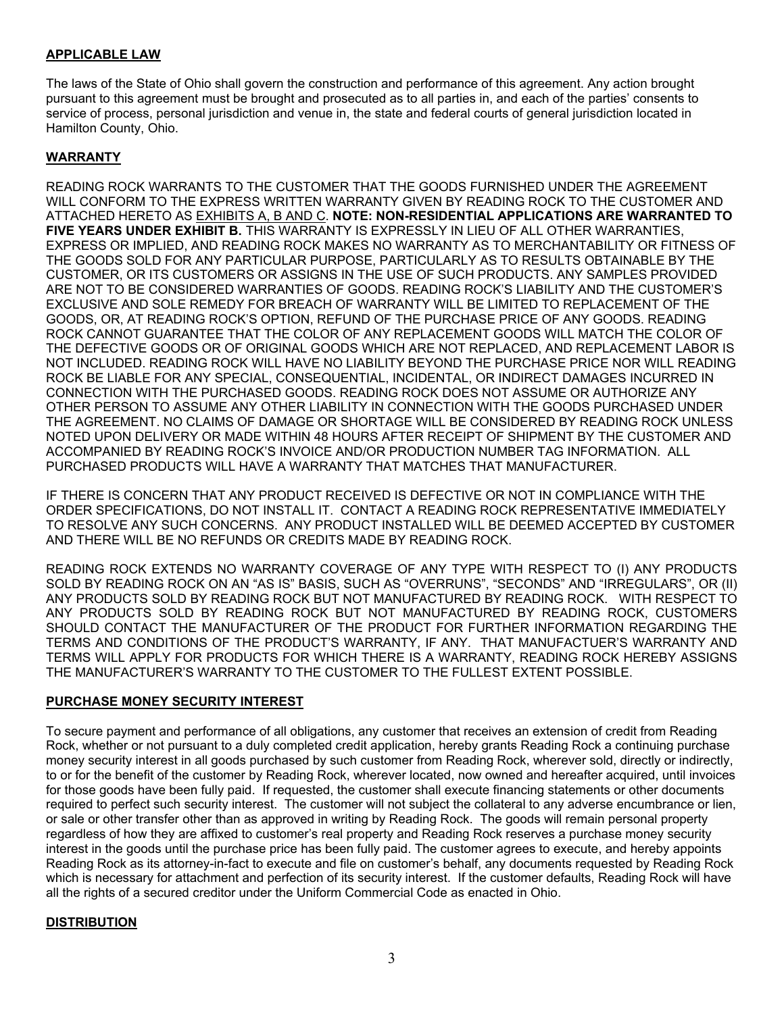#### **APPLICABLE LAW**

The laws of the State of Ohio shall govern the construction and performance of this agreement. Any action brought pursuant to this agreement must be brought and prosecuted as to all parties in, and each of the parties' consents to service of process, personal jurisdiction and venue in, the state and federal courts of general jurisdiction located in Hamilton County, Ohio.

#### **WARRANTY**

READING ROCK WARRANTS TO THE CUSTOMER THAT THE GOODS FURNISHED UNDER THE AGREEMENT WILL CONFORM TO THE EXPRESS WRITTEN WARRANTY GIVEN BY READING ROCK TO THE CUSTOMER AND ATTACHED HERETO AS EXHIBITS A, B AND C. **NOTE: NON-RESIDENTIAL APPLICATIONS ARE WARRANTED TO FIVE YEARS UNDER EXHIBIT B.** THIS WARRANTY IS EXPRESSLY IN LIEU OF ALL OTHER WARRANTIES, EXPRESS OR IMPLIED, AND READING ROCK MAKES NO WARRANTY AS TO MERCHANTABILITY OR FITNESS OF THE GOODS SOLD FOR ANY PARTICULAR PURPOSE, PARTICULARLY AS TO RESULTS OBTAINABLE BY THE CUSTOMER, OR ITS CUSTOMERS OR ASSIGNS IN THE USE OF SUCH PRODUCTS. ANY SAMPLES PROVIDED ARE NOT TO BE CONSIDERED WARRANTIES OF GOODS. READING ROCK'S LIABILITY AND THE CUSTOMER'S EXCLUSIVE AND SOLE REMEDY FOR BREACH OF WARRANTY WILL BE LIMITED TO REPLACEMENT OF THE GOODS, OR, AT READING ROCK'S OPTION, REFUND OF THE PURCHASE PRICE OF ANY GOODS. READING ROCK CANNOT GUARANTEE THAT THE COLOR OF ANY REPLACEMENT GOODS WILL MATCH THE COLOR OF THE DEFECTIVE GOODS OR OF ORIGINAL GOODS WHICH ARE NOT REPLACED, AND REPLACEMENT LABOR IS NOT INCLUDED. READING ROCK WILL HAVE NO LIABILITY BEYOND THE PURCHASE PRICE NOR WILL READING ROCK BE LIABLE FOR ANY SPECIAL, CONSEQUENTIAL, INCIDENTAL, OR INDIRECT DAMAGES INCURRED IN CONNECTION WITH THE PURCHASED GOODS. READING ROCK DOES NOT ASSUME OR AUTHORIZE ANY OTHER PERSON TO ASSUME ANY OTHER LIABILITY IN CONNECTION WITH THE GOODS PURCHASED UNDER THE AGREEMENT. NO CLAIMS OF DAMAGE OR SHORTAGE WILL BE CONSIDERED BY READING ROCK UNLESS NOTED UPON DELIVERY OR MADE WITHIN 48 HOURS AFTER RECEIPT OF SHIPMENT BY THE CUSTOMER AND ACCOMPANIED BY READING ROCK'S INVOICE AND/OR PRODUCTION NUMBER TAG INFORMATION. ALL PURCHASED PRODUCTS WILL HAVE A WARRANTY THAT MATCHES THAT MANUFACTURER.

IF THERE IS CONCERN THAT ANY PRODUCT RECEIVED IS DEFECTIVE OR NOT IN COMPLIANCE WITH THE ORDER SPECIFICATIONS, DO NOT INSTALL IT. CONTACT A READING ROCK REPRESENTATIVE IMMEDIATELY TO RESOLVE ANY SUCH CONCERNS. ANY PRODUCT INSTALLED WILL BE DEEMED ACCEPTED BY CUSTOMER AND THERE WILL BE NO REFUNDS OR CREDITS MADE BY READING ROCK.

READING ROCK EXTENDS NO WARRANTY COVERAGE OF ANY TYPE WITH RESPECT TO (I) ANY PRODUCTS SOLD BY READING ROCK ON AN "AS IS" BASIS, SUCH AS "OVERRUNS", "SECONDS" AND "IRREGULARS", OR (II) ANY PRODUCTS SOLD BY READING ROCK BUT NOT MANUFACTURED BY READING ROCK. WITH RESPECT TO ANY PRODUCTS SOLD BY READING ROCK BUT NOT MANUFACTURED BY READING ROCK, CUSTOMERS SHOULD CONTACT THE MANUFACTURER OF THE PRODUCT FOR FURTHER INFORMATION REGARDING THE TERMS AND CONDITIONS OF THE PRODUCT'S WARRANTY, IF ANY. THAT MANUFACTUER'S WARRANTY AND TERMS WILL APPLY FOR PRODUCTS FOR WHICH THERE IS A WARRANTY, READING ROCK HEREBY ASSIGNS THE MANUFACTURER'S WARRANTY TO THE CUSTOMER TO THE FULLEST EXTENT POSSIBLE.

#### **PURCHASE MONEY SECURITY INTEREST**

To secure payment and performance of all obligations, any customer that receives an extension of credit from Reading Rock, whether or not pursuant to a duly completed credit application, hereby grants Reading Rock a continuing purchase money security interest in all goods purchased by such customer from Reading Rock, wherever sold, directly or indirectly, to or for the benefit of the customer by Reading Rock, wherever located, now owned and hereafter acquired, until invoices for those goods have been fully paid. If requested, the customer shall execute financing statements or other documents required to perfect such security interest. The customer will not subject the collateral to any adverse encumbrance or lien, or sale or other transfer other than as approved in writing by Reading Rock. The goods will remain personal property regardless of how they are affixed to customer's real property and Reading Rock reserves a purchase money security interest in the goods until the purchase price has been fully paid. The customer agrees to execute, and hereby appoints Reading Rock as its attorney-in-fact to execute and file on customer's behalf, any documents requested by Reading Rock which is necessary for attachment and perfection of its security interest. If the customer defaults, Reading Rock will have all the rights of a secured creditor under the Uniform Commercial Code as enacted in Ohio.

#### **DISTRIBUTION**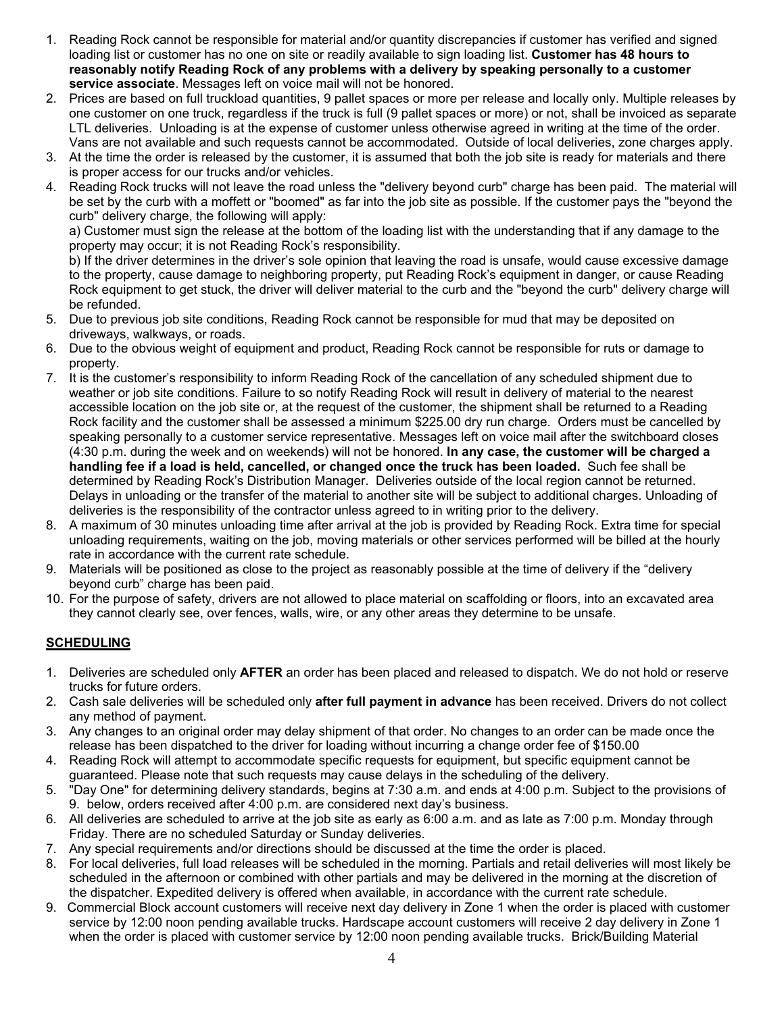- 1. Reading Rock cannot be responsible for material and/or quantity discrepancies if customer has verified and signed loading list or customer has no one on site or readily available to sign loading list. **Customer has 48 hours to reasonably notify Reading Rock of any problems with a delivery by speaking personally to a customer service associate**. Messages left on voice mail will not be honored.
- 2. Prices are based on full truckload quantities, 9 pallet spaces or more per release and locally only. Multiple releases by one customer on one truck, regardless if the truck is full (9 pallet spaces or more) or not, shall be invoiced as separate LTL deliveries. Unloading is at the expense of customer unless otherwise agreed in writing at the time of the order. Vans are not available and such requests cannot be accommodated. Outside of local deliveries, zone charges apply.
- 3. At the time the order is released by the customer, it is assumed that both the job site is ready for materials and there is proper access for our trucks and/or vehicles.
- 4. Reading Rock trucks will not leave the road unless the "delivery beyond curb" charge has been paid. The material will be set by the curb with a moffett or "boomed" as far into the job site as possible. If the customer pays the "beyond the curb" delivery charge, the following will apply:

 a) Customer must sign the release at the bottom of the loading list with the understanding that if any damage to the property may occur; it is not Reading Rock's responsibility.

 b) If the driver determines in the driver's sole opinion that leaving the road is unsafe, would cause excessive damage to the property, cause damage to neighboring property, put Reading Rock's equipment in danger, or cause Reading Rock equipment to get stuck, the driver will deliver material to the curb and the "beyond the curb" delivery charge will be refunded.

- 5. Due to previous job site conditions, Reading Rock cannot be responsible for mud that may be deposited on driveways, walkways, or roads.
- 6. Due to the obvious weight of equipment and product, Reading Rock cannot be responsible for ruts or damage to property.
- 7. It is the customer's responsibility to inform Reading Rock of the cancellation of any scheduled shipment due to weather or job site conditions. Failure to so notify Reading Rock will result in delivery of material to the nearest accessible location on the job site or, at the request of the customer, the shipment shall be returned to a Reading Rock facility and the customer shall be assessed a minimum \$225.00 dry run charge. Orders must be cancelled by speaking personally to a customer service representative. Messages left on voice mail after the switchboard closes (4:30 p.m. during the week and on weekends) will not be honored. **In any case, the customer will be charged a handling fee if a load is held, cancelled, or changed once the truck has been loaded.** Such fee shall be determined by Reading Rock's Distribution Manager. Deliveries outside of the local region cannot be returned. Delays in unloading or the transfer of the material to another site will be subject to additional charges. Unloading of deliveries is the responsibility of the contractor unless agreed to in writing prior to the delivery.
- 8. A maximum of 30 minutes unloading time after arrival at the job is provided by Reading Rock. Extra time for special unloading requirements, waiting on the job, moving materials or other services performed will be billed at the hourly rate in accordance with the current rate schedule.
- 9. Materials will be positioned as close to the project as reasonably possible at the time of delivery if the "delivery beyond curb" charge has been paid.
- 10. For the purpose of safety, drivers are not allowed to place material on scaffolding or floors, into an excavated area they cannot clearly see, over fences, walls, wire, or any other areas they determine to be unsafe.

#### **SCHEDULING**

- 1. Deliveries are scheduled only **AFTER** an order has been placed and released to dispatch. We do not hold or reserve trucks for future orders.
- 2. Cash sale deliveries will be scheduled only **after full payment in advance** has been received. Drivers do not collect any method of payment.
- 3. Any changes to an original order may delay shipment of that order. No changes to an order can be made once the release has been dispatched to the driver for loading without incurring a change order fee of \$150.00
- 4. Reading Rock will attempt to accommodate specific requests for equipment, but specific equipment cannot be guaranteed. Please note that such requests may cause delays in the scheduling of the delivery.
- 5. "Day One" for determining delivery standards, begins at 7:30 a.m. and ends at 4:00 p.m. Subject to the provisions of 9. below, orders received after 4:00 p.m. are considered next day's business.
- 6. All deliveries are scheduled to arrive at the job site as early as 6:00 a.m. and as late as 7:00 p.m. Monday through Friday. There are no scheduled Saturday or Sunday deliveries.
- 7. Any special requirements and/or directions should be discussed at the time the order is placed.
- 8. For local deliveries, full load releases will be scheduled in the morning. Partials and retail deliveries will most likely be scheduled in the afternoon or combined with other partials and may be delivered in the morning at the discretion of the dispatcher. Expedited delivery is offered when available, in accordance with the current rate schedule.
- 9. Commercial Block account customers will receive next day delivery in Zone 1 when the order is placed with customer service by 12:00 noon pending available trucks. Hardscape account customers will receive 2 day delivery in Zone 1 when the order is placed with customer service by 12:00 noon pending available trucks. Brick/Building Material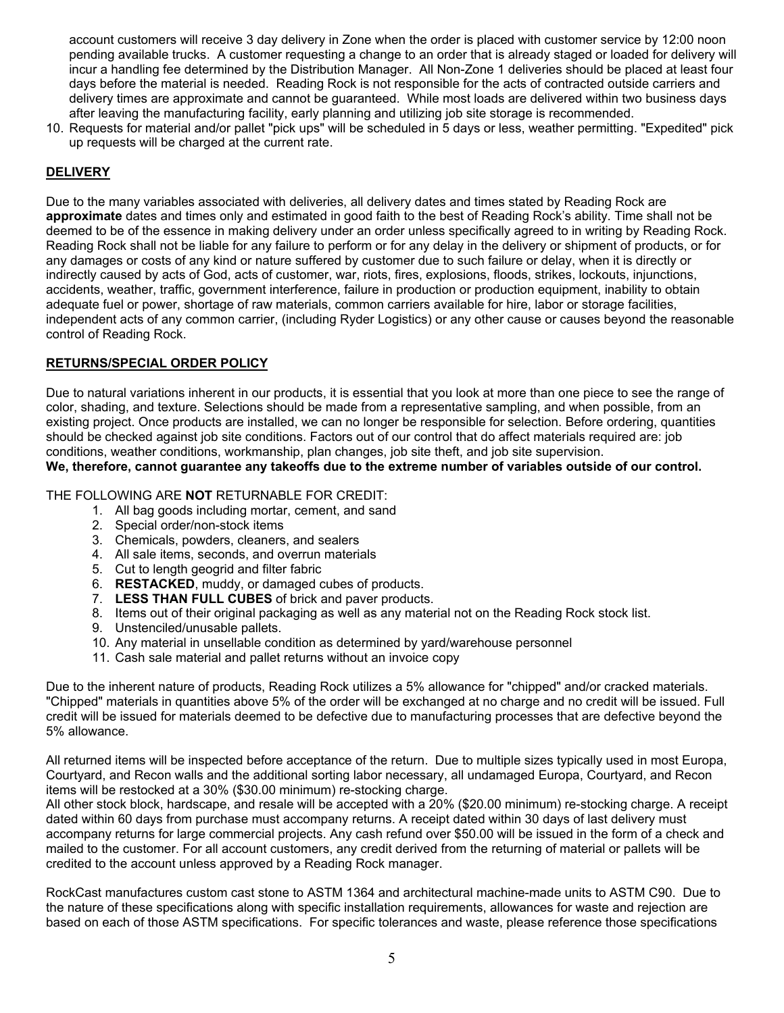account customers will receive 3 day delivery in Zone when the order is placed with customer service by 12:00 noon pending available trucks. A customer requesting a change to an order that is already staged or loaded for delivery will incur a handling fee determined by the Distribution Manager. All Non-Zone 1 deliveries should be placed at least four days before the material is needed. Reading Rock is not responsible for the acts of contracted outside carriers and delivery times are approximate and cannot be guaranteed. While most loads are delivered within two business days after leaving the manufacturing facility, early planning and utilizing job site storage is recommended.

10. Requests for material and/or pallet "pick ups" will be scheduled in 5 days or less, weather permitting. "Expedited" pick up requests will be charged at the current rate.

### **DELIVERY**

Due to the many variables associated with deliveries, all delivery dates and times stated by Reading Rock are **approximate** dates and times only and estimated in good faith to the best of Reading Rock's ability. Time shall not be deemed to be of the essence in making delivery under an order unless specifically agreed to in writing by Reading Rock. Reading Rock shall not be liable for any failure to perform or for any delay in the delivery or shipment of products, or for any damages or costs of any kind or nature suffered by customer due to such failure or delay, when it is directly or indirectly caused by acts of God, acts of customer, war, riots, fires, explosions, floods, strikes, lockouts, injunctions, accidents, weather, traffic, government interference, failure in production or production equipment, inability to obtain adequate fuel or power, shortage of raw materials, common carriers available for hire, labor or storage facilities, independent acts of any common carrier, (including Ryder Logistics) or any other cause or causes beyond the reasonable control of Reading Rock.

#### **RETURNS/SPECIAL ORDER POLICY**

Due to natural variations inherent in our products, it is essential that you look at more than one piece to see the range of color, shading, and texture. Selections should be made from a representative sampling, and when possible, from an existing project. Once products are installed, we can no longer be responsible for selection. Before ordering, quantities should be checked against job site conditions. Factors out of our control that do affect materials required are: job conditions, weather conditions, workmanship, plan changes, job site theft, and job site supervision.

**We, therefore, cannot guarantee any takeoffs due to the extreme number of variables outside of our control.** 

#### THE FOLLOWING ARE **NOT** RETURNABLE FOR CREDIT:

- 1. All bag goods including mortar, cement, and sand
- 2. Special order/non-stock items
- 3. Chemicals, powders, cleaners, and sealers
- 4. All sale items, seconds, and overrun materials
- 5. Cut to length geogrid and filter fabric
- 6. **RESTACKED**, muddy, or damaged cubes of products.
- 7. **LESS THAN FULL CUBES** of brick and paver products.
- 8. Items out of their original packaging as well as any material not on the Reading Rock stock list.
- 9. Unstenciled/unusable pallets.
- 10. Any material in unsellable condition as determined by yard/warehouse personnel
- 11. Cash sale material and pallet returns without an invoice copy

Due to the inherent nature of products, Reading Rock utilizes a 5% allowance for "chipped" and/or cracked materials. "Chipped" materials in quantities above 5% of the order will be exchanged at no charge and no credit will be issued. Full credit will be issued for materials deemed to be defective due to manufacturing processes that are defective beyond the 5% allowance.

All returned items will be inspected before acceptance of the return. Due to multiple sizes typically used in most Europa, Courtyard, and Recon walls and the additional sorting labor necessary, all undamaged Europa, Courtyard, and Recon items will be restocked at a 30% (\$30.00 minimum) re-stocking charge.

All other stock block, hardscape, and resale will be accepted with a 20% (\$20.00 minimum) re-stocking charge. A receipt dated within 60 days from purchase must accompany returns. A receipt dated within 30 days of last delivery must accompany returns for large commercial projects. Any cash refund over \$50.00 will be issued in the form of a check and mailed to the customer. For all account customers, any credit derived from the returning of material or pallets will be credited to the account unless approved by a Reading Rock manager.

RockCast manufactures custom cast stone to ASTM 1364 and architectural machine-made units to ASTM C90. Due to the nature of these specifications along with specific installation requirements, allowances for waste and rejection are based on each of those ASTM specifications. For specific tolerances and waste, please reference those specifications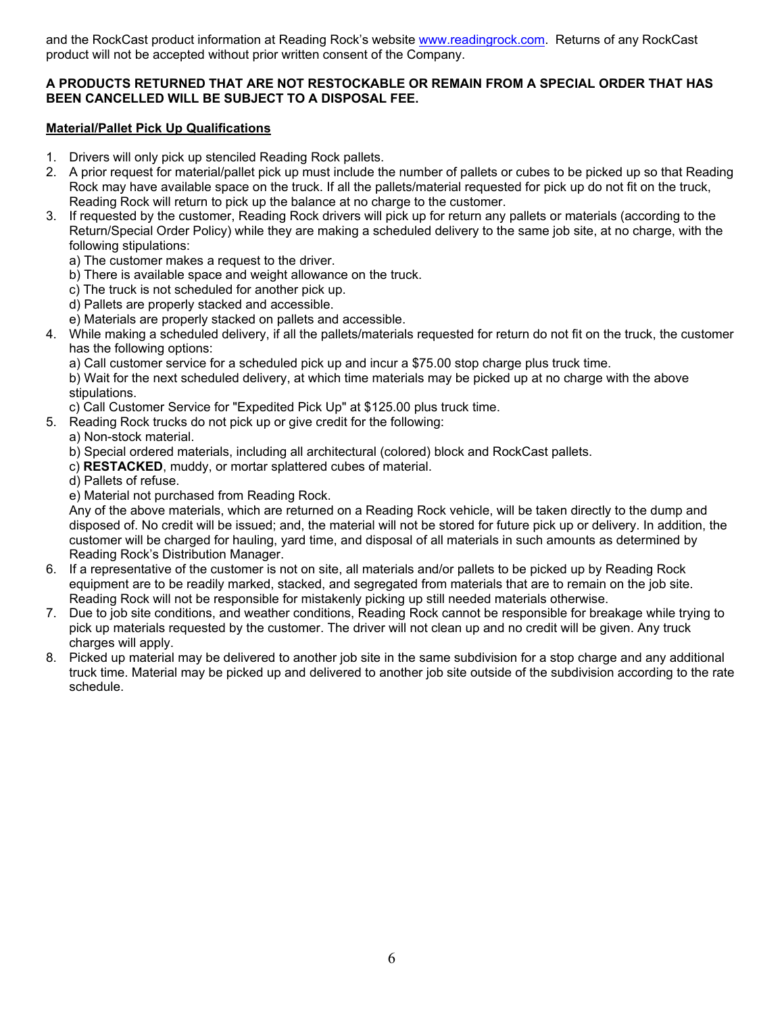and the RockCast product information at Reading Rock's website www.readingrock.com. Returns of any RockCast product will not be accepted without prior written consent of the Company.

#### **A PRODUCTS RETURNED THAT ARE NOT RESTOCKABLE OR REMAIN FROM A SPECIAL ORDER THAT HAS BEEN CANCELLED WILL BE SUBJECT TO A DISPOSAL FEE.**

#### **Material/Pallet Pick Up Qualifications**

- 1. Drivers will only pick up stenciled Reading Rock pallets.
- 2. A prior request for material/pallet pick up must include the number of pallets or cubes to be picked up so that Reading Rock may have available space on the truck. If all the pallets/material requested for pick up do not fit on the truck, Reading Rock will return to pick up the balance at no charge to the customer.
- 3. If requested by the customer, Reading Rock drivers will pick up for return any pallets or materials (according to the Return/Special Order Policy) while they are making a scheduled delivery to the same job site, at no charge, with the following stipulations:
	- a) The customer makes a request to the driver.
	- b) There is available space and weight allowance on the truck.
	- c) The truck is not scheduled for another pick up.
	- d) Pallets are properly stacked and accessible.
	- e) Materials are properly stacked on pallets and accessible.
- 4. While making a scheduled delivery, if all the pallets/materials requested for return do not fit on the truck, the customer has the following options:
	- a) Call customer service for a scheduled pick up and incur a \$75.00 stop charge plus truck time.

 b) Wait for the next scheduled delivery, at which time materials may be picked up at no charge with the above stipulations.

- c) Call Customer Service for "Expedited Pick Up" at \$125.00 plus truck time.
- 5. Reading Rock trucks do not pick up or give credit for the following:
	- a) Non-stock material.
	- b) Special ordered materials, including all architectural (colored) block and RockCast pallets.
	- c) **RESTACKED**, muddy, or mortar splattered cubes of material.
	- d) Pallets of refuse.
	- e) Material not purchased from Reading Rock.

 Any of the above materials, which are returned on a Reading Rock vehicle, will be taken directly to the dump and disposed of. No credit will be issued; and, the material will not be stored for future pick up or delivery. In addition, the customer will be charged for hauling, yard time, and disposal of all materials in such amounts as determined by Reading Rock's Distribution Manager.

- 6. If a representative of the customer is not on site, all materials and/or pallets to be picked up by Reading Rock equipment are to be readily marked, stacked, and segregated from materials that are to remain on the job site. Reading Rock will not be responsible for mistakenly picking up still needed materials otherwise.
- 7. Due to job site conditions, and weather conditions, Reading Rock cannot be responsible for breakage while trying to pick up materials requested by the customer. The driver will not clean up and no credit will be given. Any truck charges will apply.
- 8. Picked up material may be delivered to another job site in the same subdivision for a stop charge and any additional truck time. Material may be picked up and delivered to another job site outside of the subdivision according to the rate schedule.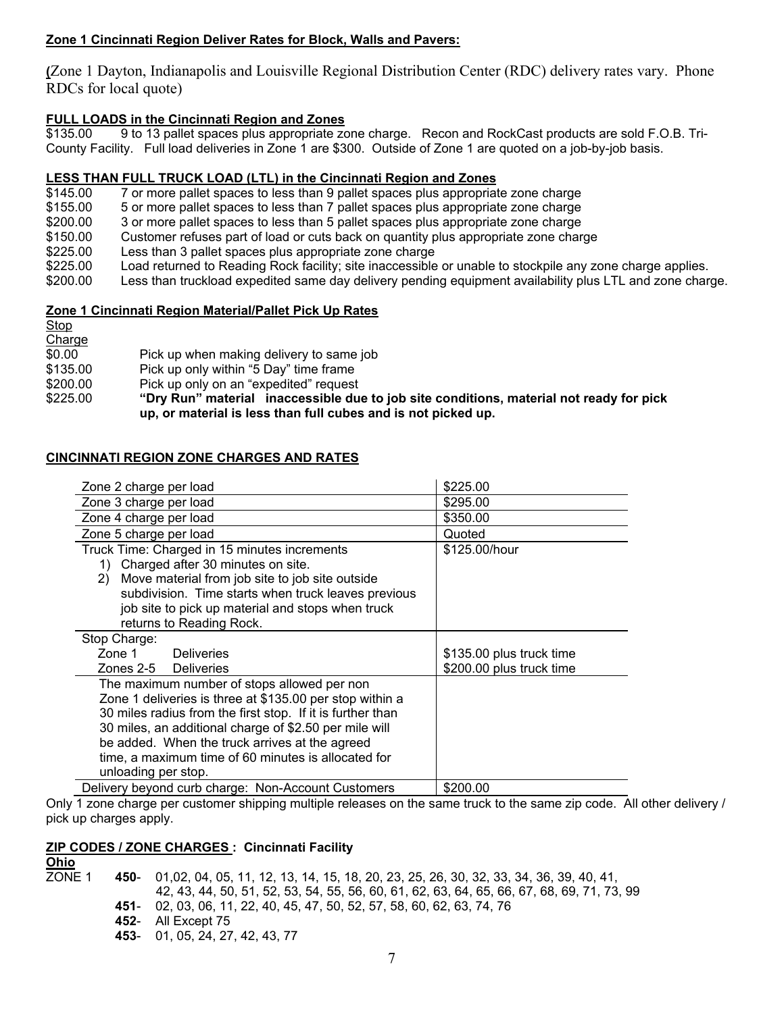#### **Zone 1 Cincinnati Region Deliver Rates for Block, Walls and Pavers:**

**(**Zone 1 Dayton, Indianapolis and Louisville Regional Distribution Center (RDC) delivery rates vary. Phone RDCs for local quote)

# **FULL LOADS in the Cincinnati Region and Zones**

9 to 13 pallet spaces plus appropriate zone charge. Recon and RockCast products are sold F.O.B. Tri-County Facility. Full load deliveries in Zone 1 are \$300. Outside of Zone 1 are quoted on a job-by-job basis.

#### **LESS THAN FULL TRUCK LOAD (LTL) in the Cincinnati Region and Zones**

\$145.00 7 or more pallet spaces to less than 9 pallet spaces plus appropriate zone charge

\$155.00 5 or more pallet spaces to less than 7 pallet spaces plus appropriate zone charge

\$200.00 3 or more pallet spaces to less than 5 pallet spaces plus appropriate zone charge

\$150.00 Customer refuses part of load or cuts back on quantity plus appropriate zone charge

- \$225.00 Less than 3 pallet spaces plus appropriate zone charge
- \$225.00 Load returned to Reading Rock facility; site inaccessible or unable to stockpile any zone charge applies.
- \$200.00 Less than truckload expedited same day delivery pending equipment availability plus LTL and zone charge.

#### **Zone 1 Cincinnati Region Material/Pallet Pick Up Rates**

Stop **Charge** 

\$0.00 Pick up when making delivery to same job

\$135.00 Pick up only within "5 Day" time frame

\$200.00 Pick up only on an "expedited" request

\$225.00 **"Dry Run" material inaccessible due to job site conditions, material not ready for pick up, or material is less than full cubes and is not picked up.** 

#### **CINCINNATI REGION ZONE CHARGES AND RATES**

| Zone 2 charge per load                                     | \$225.00                 |
|------------------------------------------------------------|--------------------------|
| Zone 3 charge per load                                     | \$295.00                 |
| Zone 4 charge per load                                     | \$350.00                 |
| Zone 5 charge per load                                     | Quoted                   |
| Truck Time: Charged in 15 minutes increments               | \$125.00/hour            |
| Charged after 30 minutes on site.<br>1)                    |                          |
| Move material from job site to job site outside<br>2)      |                          |
| subdivision. Time starts when truck leaves previous        |                          |
| job site to pick up material and stops when truck          |                          |
| returns to Reading Rock.                                   |                          |
| Stop Charge:                                               |                          |
| Zone 1<br><b>Deliveries</b>                                | \$135.00 plus truck time |
| Zones 2-5 Deliveries                                       | \$200.00 plus truck time |
| The maximum number of stops allowed per non                |                          |
| Zone 1 deliveries is three at \$135.00 per stop within a   |                          |
| 30 miles radius from the first stop. If it is further than |                          |
| 30 miles, an additional charge of \$2.50 per mile will     |                          |
| be added. When the truck arrives at the agreed             |                          |
| time, a maximum time of 60 minutes is allocated for        |                          |
| unloading per stop.                                        |                          |
| Delivery beyond curb charge: Non-Account Customers         | \$200.00                 |

Only 1 zone charge per customer shipping multiple releases on the same truck to the same zip code. All other delivery / pick up charges apply.

#### **ZIP CODES / ZONE CHARGES : Cincinnati Facility**

**Ohio** ZONE 1 **450**- 01,02, 04, 05, 11, 12, 13, 14, 15, 18, 20, 23, 25, 26, 30, 32, 33, 34, 36, 39, 40, 41, 42, 43, 44, 50, 51, 52, 53, 54, 55, 56, 60, 61, 62, 63, 64, 65, 66, 67, 68, 69, 71, 73, 99 **451**- 02, 03, 06, 11, 22, 40, 45, 47, 50, 52, 57, 58, 60, 62, 63, 74, 76 **452**- All Except 75 **453**- 01, 05, 24, 27, 42, 43, 77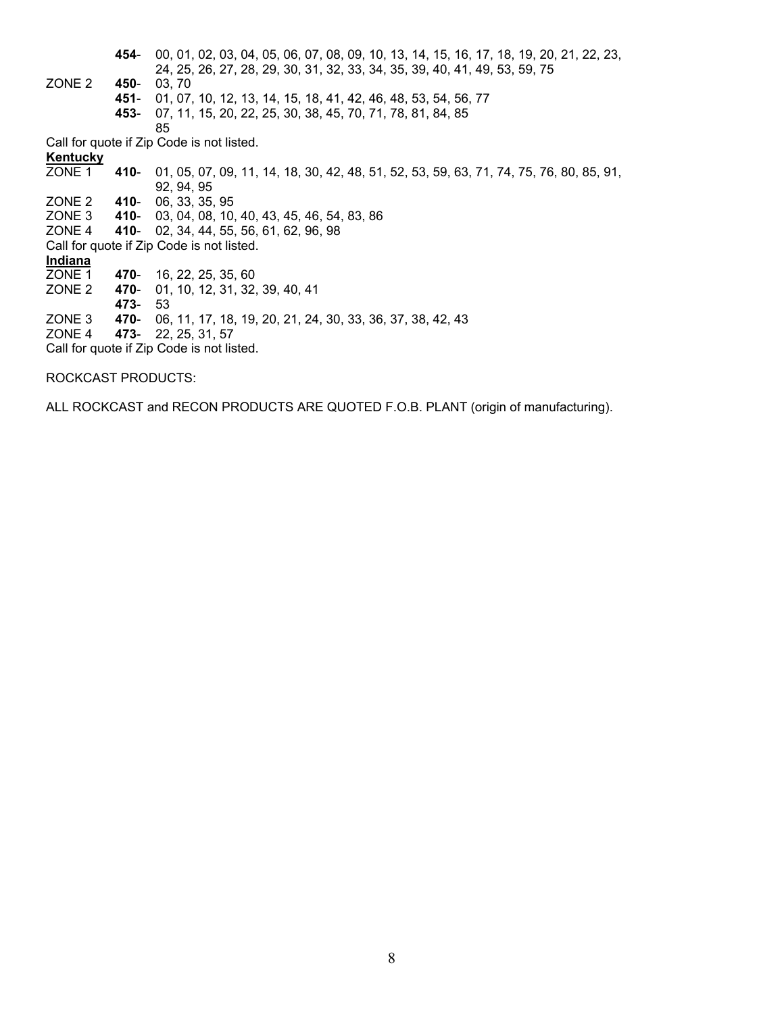**454**- 00, 01, 02, 03, 04, 05, 06, 07, 08, 09, 10, 13, 14, 15, 16, 17, 18, 19, 20, 21, 22, 23, 24, 25, 26, 27, 28, 29, 30, 31, 32, 33, 34, 35, 39, 40, 41, 49, 53, 59, 75<br>
20NE 2 450-03, 70 450- 03, 70 **451**- 01, 07, 10, 12, 13, 14, 15, 18, 41, 42, 46, 48, 53, 54, 56, 77 **453**- 07, 11, 15, 20, 22, 25, 30, 38, 45, 70, 71, 78, 81, 84, 85 85 Call for quote if Zip Code is not listed. **Kentucky** ZONE 1 **410**- 01, 05, 07, 09, 11, 14, 18, 30, 42, 48, 51, 52, 53, 59, 63, 71, 74, 75, 76, 80, 85, 91, 92, 94, 95 ZONE 2 **410**- 06, 33, 35, 95 410- 03, 04, 08, 10, 40, 43, 45, 46, 54, 83, 86 ZONE 4 **410**- 02, 34, 44, 55, 56, 61, 62, 96, 98 Call for quote if Zip Code is not listed. **Indiana** 470- 16, 22, 25, 35, 60 ZONE 2 **470**- 01, 10, 12, 31, 32, 39, 40, 41 **473**- 53 ZONE 3 **470**- 06, 11, 17, 18, 19, 20, 21, 24, 30, 33, 36, 37, 38, 42, 43 ZONE 4 **473**- 22, 25, 31, 57 Call for quote if Zip Code is not listed.

ROCKCAST PRODUCTS:

ALL ROCKCAST and RECON PRODUCTS ARE QUOTED F.O.B. PLANT (origin of manufacturing).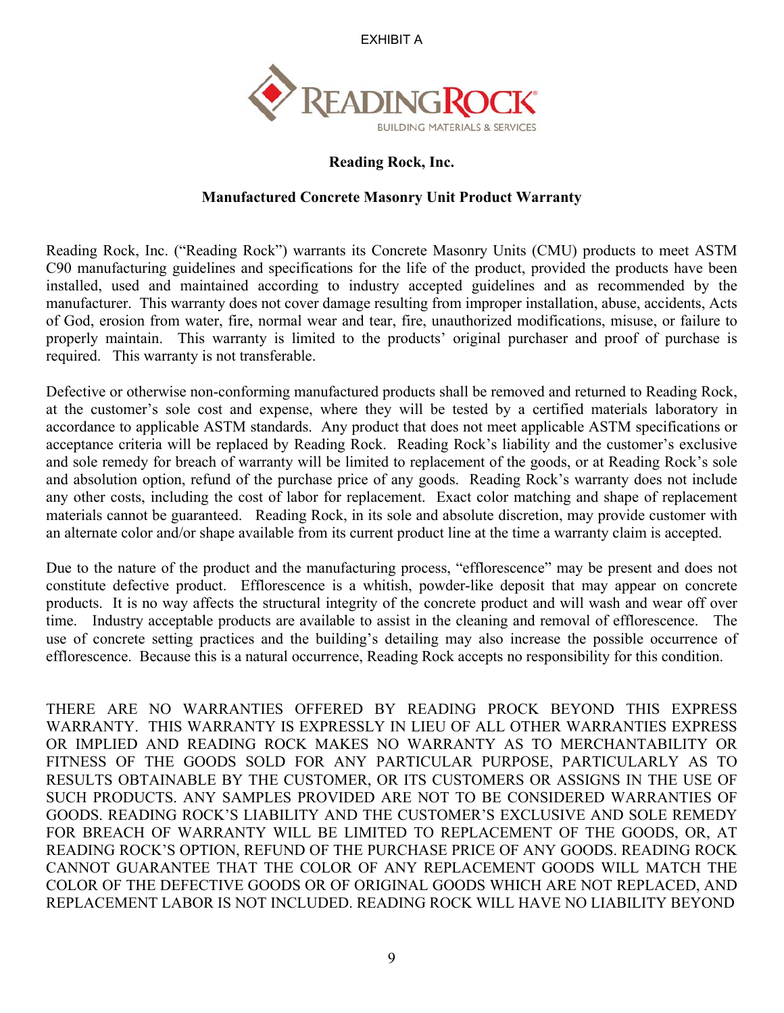EXHIBIT A



## **Reading Rock, Inc.**

## **Manufactured Concrete Masonry Unit Product Warranty**

Reading Rock, Inc. ("Reading Rock") warrants its Concrete Masonry Units (CMU) products to meet ASTM C90 manufacturing guidelines and specifications for the life of the product, provided the products have been installed, used and maintained according to industry accepted guidelines and as recommended by the manufacturer. This warranty does not cover damage resulting from improper installation, abuse, accidents, Acts of God, erosion from water, fire, normal wear and tear, fire, unauthorized modifications, misuse, or failure to properly maintain. This warranty is limited to the products' original purchaser and proof of purchase is required. This warranty is not transferable.

Defective or otherwise non-conforming manufactured products shall be removed and returned to Reading Rock, at the customer's sole cost and expense, where they will be tested by a certified materials laboratory in accordance to applicable ASTM standards. Any product that does not meet applicable ASTM specifications or acceptance criteria will be replaced by Reading Rock. Reading Rock's liability and the customer's exclusive and sole remedy for breach of warranty will be limited to replacement of the goods, or at Reading Rock's sole and absolution option, refund of the purchase price of any goods. Reading Rock's warranty does not include any other costs, including the cost of labor for replacement. Exact color matching and shape of replacement materials cannot be guaranteed. Reading Rock, in its sole and absolute discretion, may provide customer with an alternate color and/or shape available from its current product line at the time a warranty claim is accepted.

Due to the nature of the product and the manufacturing process, "efflorescence" may be present and does not constitute defective product. Efflorescence is a whitish, powder-like deposit that may appear on concrete products. It is no way affects the structural integrity of the concrete product and will wash and wear off over time. Industry acceptable products are available to assist in the cleaning and removal of efflorescence. The use of concrete setting practices and the building's detailing may also increase the possible occurrence of efflorescence. Because this is a natural occurrence, Reading Rock accepts no responsibility for this condition.

THERE ARE NO WARRANTIES OFFERED BY READING PROCK BEYOND THIS EXPRESS WARRANTY. THIS WARRANTY IS EXPRESSLY IN LIEU OF ALL OTHER WARRANTIES EXPRESS OR IMPLIED AND READING ROCK MAKES NO WARRANTY AS TO MERCHANTABILITY OR FITNESS OF THE GOODS SOLD FOR ANY PARTICULAR PURPOSE, PARTICULARLY AS TO RESULTS OBTAINABLE BY THE CUSTOMER, OR ITS CUSTOMERS OR ASSIGNS IN THE USE OF SUCH PRODUCTS. ANY SAMPLES PROVIDED ARE NOT TO BE CONSIDERED WARRANTIES OF GOODS. READING ROCK'S LIABILITY AND THE CUSTOMER'S EXCLUSIVE AND SOLE REMEDY FOR BREACH OF WARRANTY WILL BE LIMITED TO REPLACEMENT OF THE GOODS, OR, AT READING ROCK'S OPTION, REFUND OF THE PURCHASE PRICE OF ANY GOODS. READING ROCK CANNOT GUARANTEE THAT THE COLOR OF ANY REPLACEMENT GOODS WILL MATCH THE COLOR OF THE DEFECTIVE GOODS OR OF ORIGINAL GOODS WHICH ARE NOT REPLACED, AND REPLACEMENT LABOR IS NOT INCLUDED. READING ROCK WILL HAVE NO LIABILITY BEYOND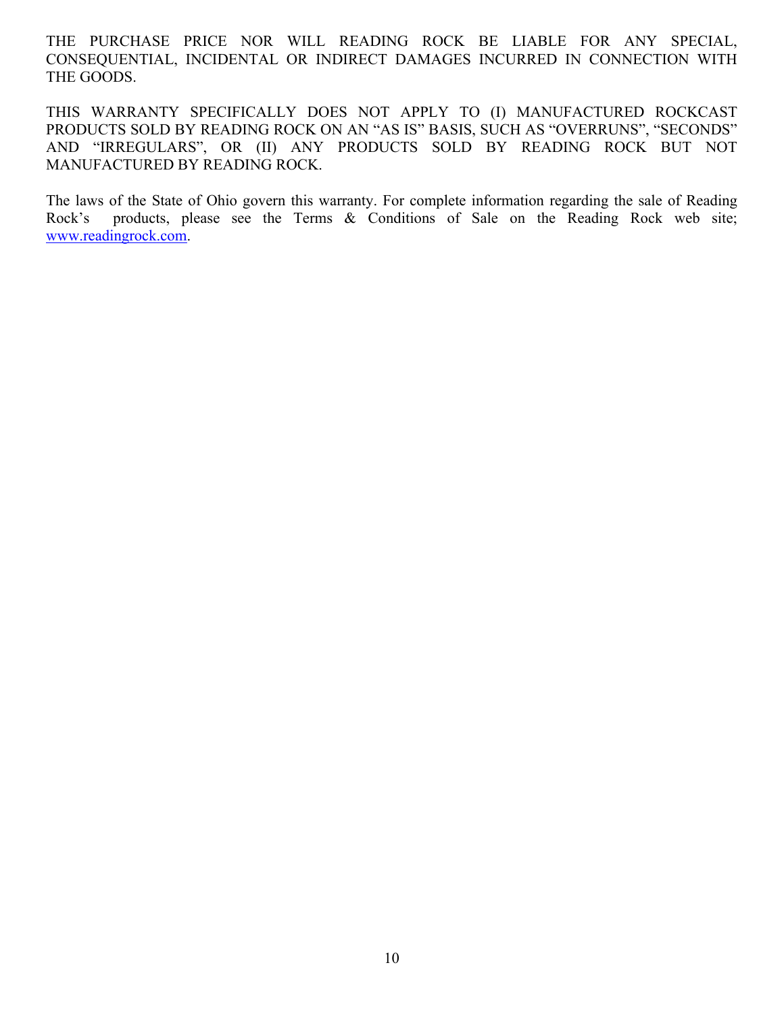THE PURCHASE PRICE NOR WILL READING ROCK BE LIABLE FOR ANY SPECIAL, CONSEQUENTIAL, INCIDENTAL OR INDIRECT DAMAGES INCURRED IN CONNECTION WITH THE GOODS.

THIS WARRANTY SPECIFICALLY DOES NOT APPLY TO (I) MANUFACTURED ROCKCAST PRODUCTS SOLD BY READING ROCK ON AN "AS IS" BASIS, SUCH AS "OVERRUNS", "SECONDS" AND "IRREGULARS", OR (II) ANY PRODUCTS SOLD BY READING ROCK BUT NOT MANUFACTURED BY READING ROCK.

The laws of the State of Ohio govern this warranty. For complete information regarding the sale of Reading Rock's products, please see the Terms & Conditions of Sale on the Reading Rock web site; www.readingrock.com.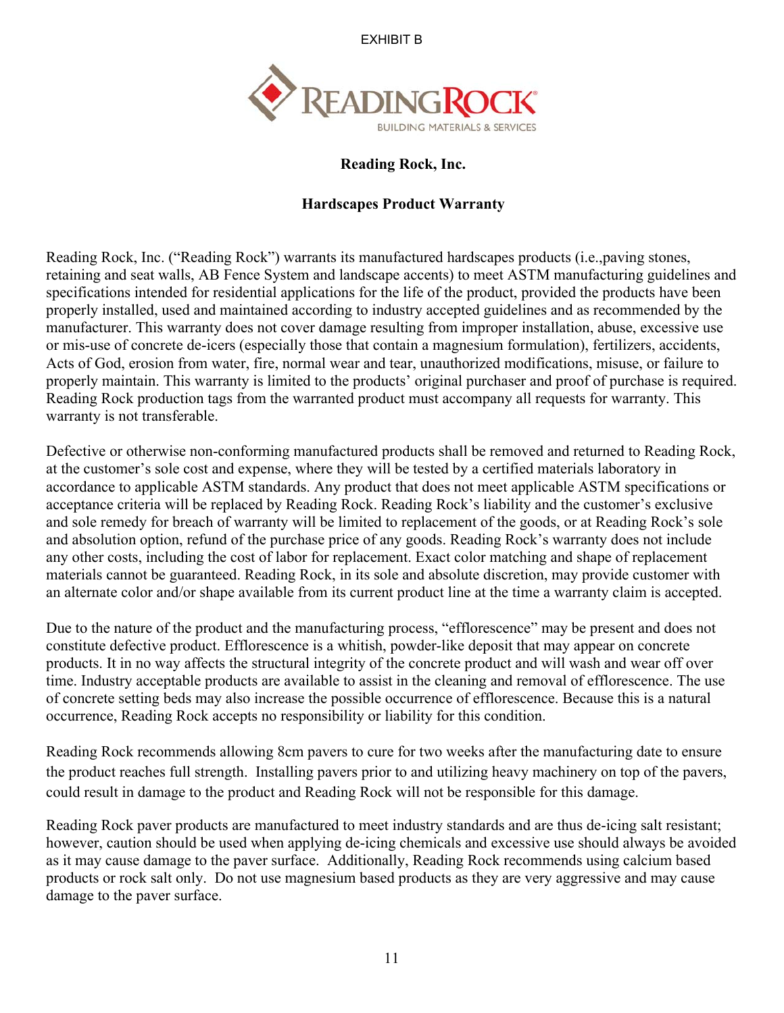EXHIBIT B



## **Reading Rock, Inc.**

## **Hardscapes Product Warranty**

Reading Rock, Inc. ("Reading Rock") warrants its manufactured hardscapes products (i.e.,paving stones, retaining and seat walls, AB Fence System and landscape accents) to meet ASTM manufacturing guidelines and specifications intended for residential applications for the life of the product, provided the products have been properly installed, used and maintained according to industry accepted guidelines and as recommended by the manufacturer. This warranty does not cover damage resulting from improper installation, abuse, excessive use or mis-use of concrete de-icers (especially those that contain a magnesium formulation), fertilizers, accidents, Acts of God, erosion from water, fire, normal wear and tear, unauthorized modifications, misuse, or failure to properly maintain. This warranty is limited to the products' original purchaser and proof of purchase is required. Reading Rock production tags from the warranted product must accompany all requests for warranty. This warranty is not transferable.

Defective or otherwise non-conforming manufactured products shall be removed and returned to Reading Rock, at the customer's sole cost and expense, where they will be tested by a certified materials laboratory in accordance to applicable ASTM standards. Any product that does not meet applicable ASTM specifications or acceptance criteria will be replaced by Reading Rock. Reading Rock's liability and the customer's exclusive and sole remedy for breach of warranty will be limited to replacement of the goods, or at Reading Rock's sole and absolution option, refund of the purchase price of any goods. Reading Rock's warranty does not include any other costs, including the cost of labor for replacement. Exact color matching and shape of replacement materials cannot be guaranteed. Reading Rock, in its sole and absolute discretion, may provide customer with an alternate color and/or shape available from its current product line at the time a warranty claim is accepted.

Due to the nature of the product and the manufacturing process, "efflorescence" may be present and does not constitute defective product. Efflorescence is a whitish, powder-like deposit that may appear on concrete products. It in no way affects the structural integrity of the concrete product and will wash and wear off over time. Industry acceptable products are available to assist in the cleaning and removal of efflorescence. The use of concrete setting beds may also increase the possible occurrence of efflorescence. Because this is a natural occurrence, Reading Rock accepts no responsibility or liability for this condition.

Reading Rock recommends allowing 8cm pavers to cure for two weeks after the manufacturing date to ensure the product reaches full strength. Installing pavers prior to and utilizing heavy machinery on top of the pavers, could result in damage to the product and Reading Rock will not be responsible for this damage.

Reading Rock paver products are manufactured to meet industry standards and are thus de-icing salt resistant; however, caution should be used when applying de-icing chemicals and excessive use should always be avoided as it may cause damage to the paver surface. Additionally, Reading Rock recommends using calcium based products or rock salt only. Do not use magnesium based products as they are very aggressive and may cause damage to the paver surface.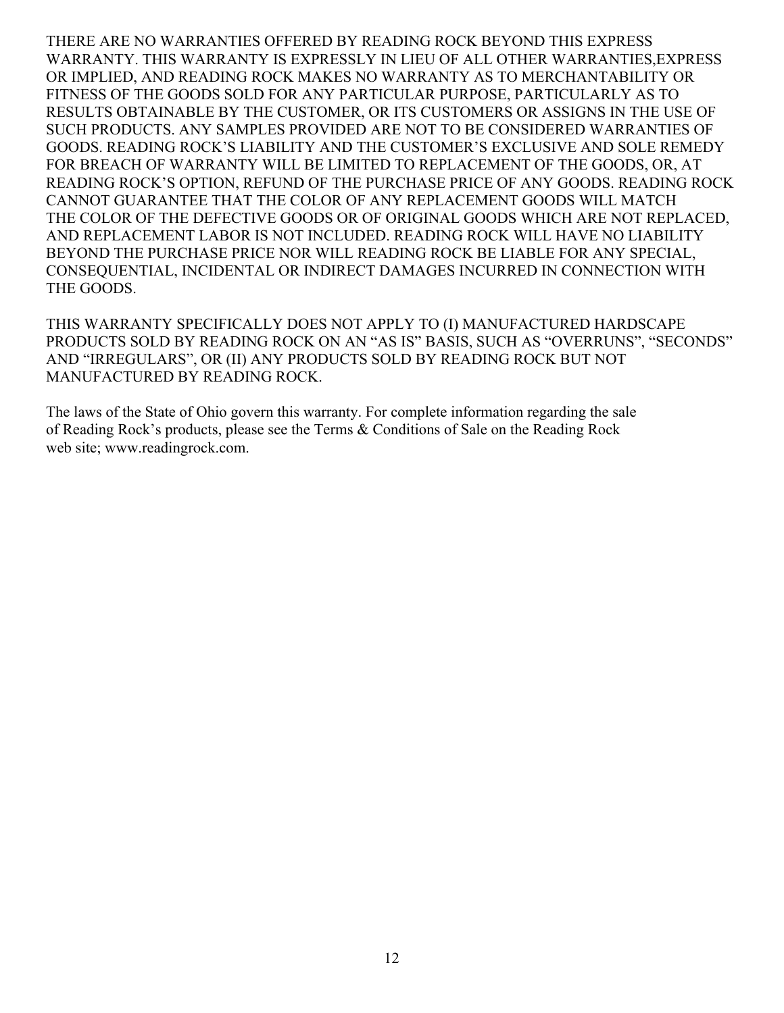THERE ARE NO WARRANTIES OFFERED BY READING ROCK BEYOND THIS EXPRESS WARRANTY. THIS WARRANTY IS EXPRESSLY IN LIEU OF ALL OTHER WARRANTIES,EXPRESS OR IMPLIED, AND READING ROCK MAKES NO WARRANTY AS TO MERCHANTABILITY OR FITNESS OF THE GOODS SOLD FOR ANY PARTICULAR PURPOSE, PARTICULARLY AS TO RESULTS OBTAINABLE BY THE CUSTOMER, OR ITS CUSTOMERS OR ASSIGNS IN THE USE OF SUCH PRODUCTS. ANY SAMPLES PROVIDED ARE NOT TO BE CONSIDERED WARRANTIES OF GOODS. READING ROCK'S LIABILITY AND THE CUSTOMER'S EXCLUSIVE AND SOLE REMEDY FOR BREACH OF WARRANTY WILL BE LIMITED TO REPLACEMENT OF THE GOODS, OR, AT READING ROCK'S OPTION, REFUND OF THE PURCHASE PRICE OF ANY GOODS. READING ROCK CANNOT GUARANTEE THAT THE COLOR OF ANY REPLACEMENT GOODS WILL MATCH THE COLOR OF THE DEFECTIVE GOODS OR OF ORIGINAL GOODS WHICH ARE NOT REPLACED, AND REPLACEMENT LABOR IS NOT INCLUDED. READING ROCK WILL HAVE NO LIABILITY BEYOND THE PURCHASE PRICE NOR WILL READING ROCK BE LIABLE FOR ANY SPECIAL, CONSEQUENTIAL, INCIDENTAL OR INDIRECT DAMAGES INCURRED IN CONNECTION WITH THE GOODS.

THIS WARRANTY SPECIFICALLY DOES NOT APPLY TO (I) MANUFACTURED HARDSCAPE PRODUCTS SOLD BY READING ROCK ON AN "AS IS" BASIS, SUCH AS "OVERRUNS", "SECONDS" AND "IRREGULARS", OR (II) ANY PRODUCTS SOLD BY READING ROCK BUT NOT MANUFACTURED BY READING ROCK.

The laws of the State of Ohio govern this warranty. For complete information regarding the sale of Reading Rock's products, please see the Terms & Conditions of Sale on the Reading Rock web site; www.readingrock.com.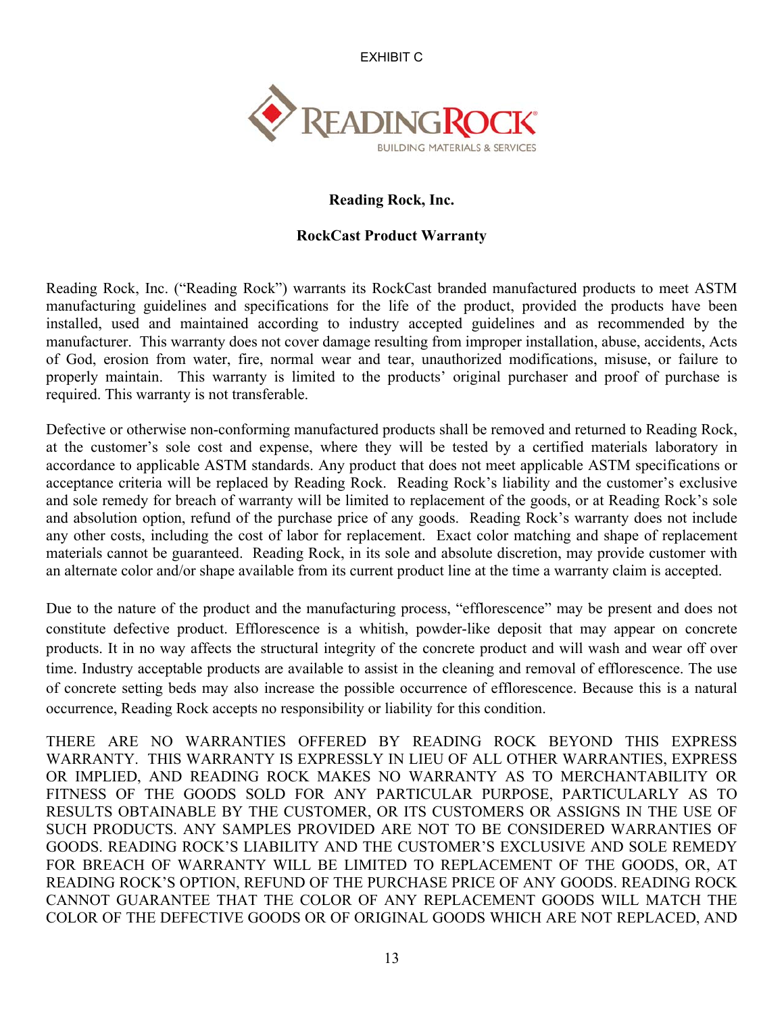EXHIBIT C



## **Reading Rock, Inc.**

## **RockCast Product Warranty**

Reading Rock, Inc. ("Reading Rock") warrants its RockCast branded manufactured products to meet ASTM manufacturing guidelines and specifications for the life of the product, provided the products have been installed, used and maintained according to industry accepted guidelines and as recommended by the manufacturer. This warranty does not cover damage resulting from improper installation, abuse, accidents, Acts of God, erosion from water, fire, normal wear and tear, unauthorized modifications, misuse, or failure to properly maintain. This warranty is limited to the products' original purchaser and proof of purchase is required. This warranty is not transferable.

Defective or otherwise non-conforming manufactured products shall be removed and returned to Reading Rock, at the customer's sole cost and expense, where they will be tested by a certified materials laboratory in accordance to applicable ASTM standards. Any product that does not meet applicable ASTM specifications or acceptance criteria will be replaced by Reading Rock. Reading Rock's liability and the customer's exclusive and sole remedy for breach of warranty will be limited to replacement of the goods, or at Reading Rock's sole and absolution option, refund of the purchase price of any goods. Reading Rock's warranty does not include any other costs, including the cost of labor for replacement. Exact color matching and shape of replacement materials cannot be guaranteed. Reading Rock, in its sole and absolute discretion, may provide customer with an alternate color and/or shape available from its current product line at the time a warranty claim is accepted.

Due to the nature of the product and the manufacturing process, "efflorescence" may be present and does not constitute defective product. Efflorescence is a whitish, powder-like deposit that may appear on concrete products. It in no way affects the structural integrity of the concrete product and will wash and wear off over time. Industry acceptable products are available to assist in the cleaning and removal of efflorescence. The use of concrete setting beds may also increase the possible occurrence of efflorescence. Because this is a natural occurrence, Reading Rock accepts no responsibility or liability for this condition.

THERE ARE NO WARRANTIES OFFERED BY READING ROCK BEYOND THIS EXPRESS WARRANTY. THIS WARRANTY IS EXPRESSLY IN LIEU OF ALL OTHER WARRANTIES, EXPRESS OR IMPLIED, AND READING ROCK MAKES NO WARRANTY AS TO MERCHANTABILITY OR FITNESS OF THE GOODS SOLD FOR ANY PARTICULAR PURPOSE, PARTICULARLY AS TO RESULTS OBTAINABLE BY THE CUSTOMER, OR ITS CUSTOMERS OR ASSIGNS IN THE USE OF SUCH PRODUCTS. ANY SAMPLES PROVIDED ARE NOT TO BE CONSIDERED WARRANTIES OF GOODS. READING ROCK'S LIABILITY AND THE CUSTOMER'S EXCLUSIVE AND SOLE REMEDY FOR BREACH OF WARRANTY WILL BE LIMITED TO REPLACEMENT OF THE GOODS, OR, AT READING ROCK'S OPTION, REFUND OF THE PURCHASE PRICE OF ANY GOODS. READING ROCK CANNOT GUARANTEE THAT THE COLOR OF ANY REPLACEMENT GOODS WILL MATCH THE COLOR OF THE DEFECTIVE GOODS OR OF ORIGINAL GOODS WHICH ARE NOT REPLACED, AND